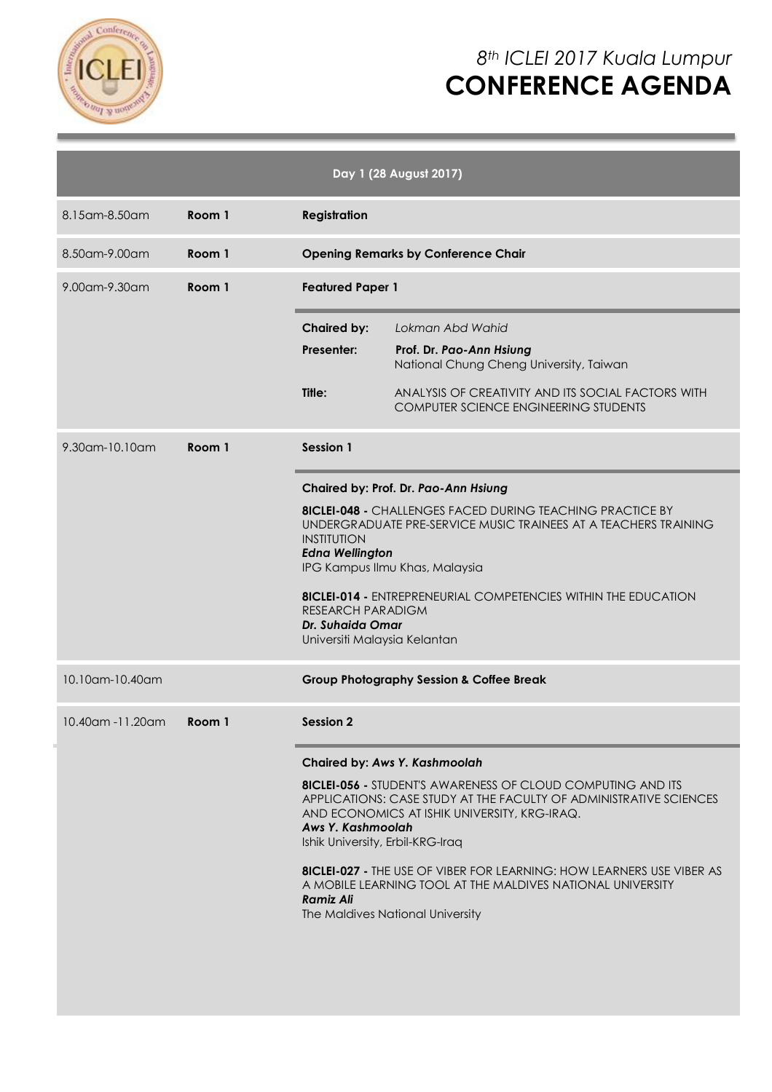

# *8th ICLEI 2017 Kuala Lumpur* **CONFERENCE AGENDA**

|                   |        |                                                                                                                                                                                                                                                                                                                                                                                                                                            | Day 1 (28 August 2017)                                                                                                                                                                                                                                                                                                                                                                                      |
|-------------------|--------|--------------------------------------------------------------------------------------------------------------------------------------------------------------------------------------------------------------------------------------------------------------------------------------------------------------------------------------------------------------------------------------------------------------------------------------------|-------------------------------------------------------------------------------------------------------------------------------------------------------------------------------------------------------------------------------------------------------------------------------------------------------------------------------------------------------------------------------------------------------------|
| 8.15 am - 8.50 am | Room 1 | <b>Registration</b>                                                                                                                                                                                                                                                                                                                                                                                                                        |                                                                                                                                                                                                                                                                                                                                                                                                             |
| 8.50am-9.00am     | Room 1 | <b>Opening Remarks by Conference Chair</b>                                                                                                                                                                                                                                                                                                                                                                                                 |                                                                                                                                                                                                                                                                                                                                                                                                             |
| 9.00am-9.30am     | Room 1 | <b>Featured Paper 1</b>                                                                                                                                                                                                                                                                                                                                                                                                                    |                                                                                                                                                                                                                                                                                                                                                                                                             |
|                   |        | <b>Chaired by:</b>                                                                                                                                                                                                                                                                                                                                                                                                                         | Lokman Abd Wahid                                                                                                                                                                                                                                                                                                                                                                                            |
|                   |        | Presenter:                                                                                                                                                                                                                                                                                                                                                                                                                                 | Prof. Dr. Pao-Ann Hsiung<br>National Chung Cheng University, Taiwan                                                                                                                                                                                                                                                                                                                                         |
|                   |        | Title:                                                                                                                                                                                                                                                                                                                                                                                                                                     | ANALYSIS OF CREATIVITY AND ITS SOCIAL FACTORS WITH<br><b>COMPUTER SCIENCE ENGINEERING STUDENTS</b>                                                                                                                                                                                                                                                                                                          |
| 9.30am-10.10am    | Room 1 | Session 1<br>Chaired by: Prof. Dr. Pao-Ann Hsiung<br><b>8ICLEI-048 - CHALLENGES FACED DURING TEACHING PRACTICE BY</b><br>UNDERGRADUATE PRE-SERVICE MUSIC TRAINEES AT A TEACHERS TRAINING<br><b>INSTITUTION</b><br><b>Edna Wellington</b><br>IPG Kampus Ilmu Khas, Malaysia<br><b>8ICLEI-014 - ENTREPRENEURIAL COMPETENCIES WITHIN THE EDUCATION</b><br><b>RESEARCH PARADIGM</b><br><b>Dr. Suhaida Omar</b><br>Universiti Malaysia Kelantan |                                                                                                                                                                                                                                                                                                                                                                                                             |
|                   |        |                                                                                                                                                                                                                                                                                                                                                                                                                                            |                                                                                                                                                                                                                                                                                                                                                                                                             |
| 10.10am-10.40am   |        | <b>Group Photography Session &amp; Coffee Break</b>                                                                                                                                                                                                                                                                                                                                                                                        |                                                                                                                                                                                                                                                                                                                                                                                                             |
| 10.40am -11.20am  | Room 1 | <b>Session 2</b>                                                                                                                                                                                                                                                                                                                                                                                                                           |                                                                                                                                                                                                                                                                                                                                                                                                             |
|                   |        | Aws Y. Kashmoolah<br>Ishik University, Erbil-KRG-Iraq<br>Ramiz Ali                                                                                                                                                                                                                                                                                                                                                                         | Chaired by: Aws Y. Kashmoolah<br><b>8ICLEI-056 - STUDENT'S AWARENESS OF CLOUD COMPUTING AND ITS</b><br>APPLICATIONS: CASE STUDY AT THE FACULTY OF ADMINISTRATIVE SCIENCES<br>AND ECONOMICS AT ISHIK UNIVERSITY, KRG-IRAQ.<br><b>8ICLEI-027 - THE USE OF VIBER FOR LEARNING: HOW LEARNERS USE VIBER AS</b><br>A MOBILE LEARNING TOOL AT THE MALDIVES NATIONAL UNIVERSITY<br>The Maldives National University |
|                   |        |                                                                                                                                                                                                                                                                                                                                                                                                                                            |                                                                                                                                                                                                                                                                                                                                                                                                             |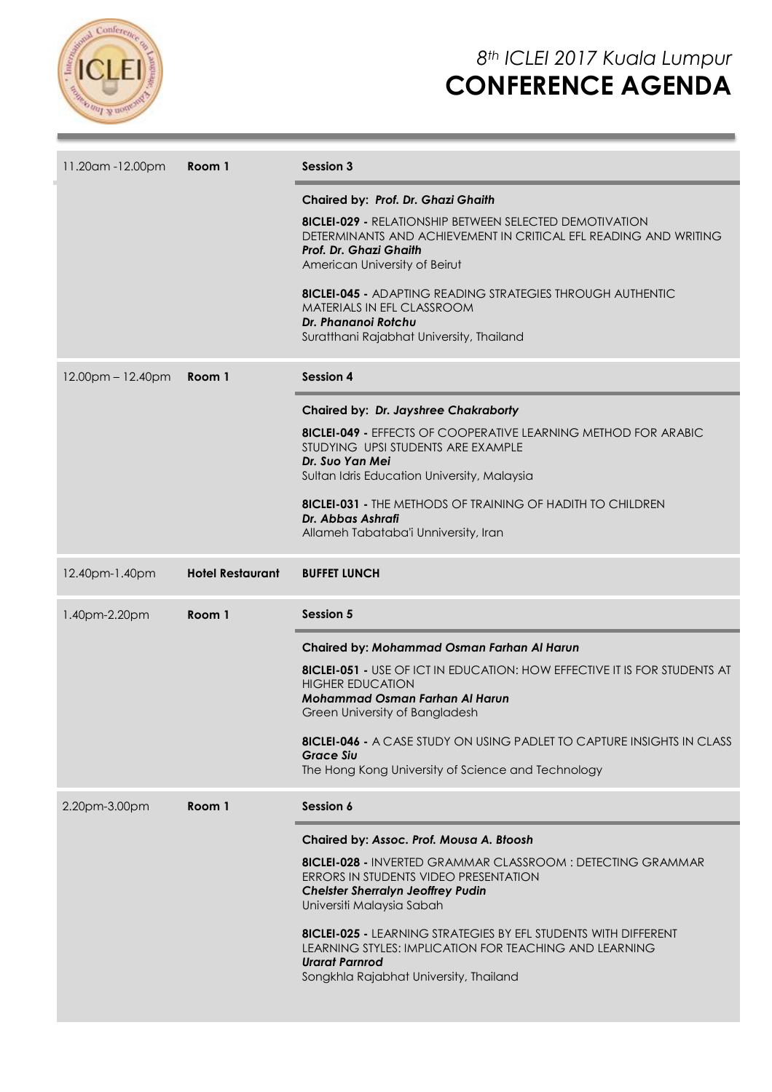

| 11.20am -12.00pm    | Room 1                  | <b>Session 3</b>                                                                                                                                                                                                                                                                                                                                                                                                                       |  |
|---------------------|-------------------------|----------------------------------------------------------------------------------------------------------------------------------------------------------------------------------------------------------------------------------------------------------------------------------------------------------------------------------------------------------------------------------------------------------------------------------------|--|
|                     |                         | Chaired by: Prof. Dr. Ghazi Ghaith<br><b>8ICLEI-029 - RELATIONSHIP BETWEEN SELECTED DEMOTIVATION</b><br>DETERMINANTS AND ACHIEVEMENT IN CRITICAL EFL READING AND WRITING<br>Prof. Dr. Ghazi Ghaith<br>American University of Beirut<br><b>8ICLEI-045 - ADAPTING READING STRATEGIES THROUGH AUTHENTIC</b><br>MATERIALS IN EFL CLASSROOM<br>Dr. Phananoi Rotchu<br>Suratthani Rajabhat University, Thailand                              |  |
| $12.00pm - 12.40pm$ | Room 1                  | <b>Session 4</b>                                                                                                                                                                                                                                                                                                                                                                                                                       |  |
|                     |                         | Chaired by: Dr. Jayshree Chakraborty<br><b>8ICLEI-049 - EFFECTS OF COOPERATIVE LEARNING METHOD FOR ARABIC</b><br>STUDYING UPSI STUDENTS ARE EXAMPLE<br>Dr. Suo Yan Mei<br>Sultan Idris Education University, Malaysia<br><b>8ICLEI-031 - THE METHODS OF TRAINING OF HADITH TO CHILDREN</b><br>Dr. Abbas Ashrafi<br>Allameh Tabataba'i Unniversity, Iran                                                                                |  |
| 12.40pm-1.40pm      | <b>Hotel Restaurant</b> | <b>BUFFET LUNCH</b>                                                                                                                                                                                                                                                                                                                                                                                                                    |  |
| 1.40pm-2.20pm       | Room 1                  | <b>Session 5</b>                                                                                                                                                                                                                                                                                                                                                                                                                       |  |
|                     |                         | Chaired by: Mohammad Osman Farhan Al Harun<br><b>8ICLEI-051 - USE OF ICT IN EDUCATION: HOW EFFECTIVE IT IS FOR STUDENTS AT</b><br><b>HIGHER EDUCATION</b><br><b>Mohammad Osman Farhan Al Harun</b><br>Green University of Bangladesh<br><b>8ICLEI-046 - A CASE STUDY ON USING PADLET TO CAPTURE INSIGHTS IN CLASS</b><br><b>Grace Siu</b><br>The Hong Kong University of Science and Technology                                        |  |
| 2.20pm-3.00pm       | Room 1                  | Session 6                                                                                                                                                                                                                                                                                                                                                                                                                              |  |
|                     |                         | Chaired by: Assoc. Prof. Mousa A. Bloosh<br><b>8ICLEI-028 - INVERTED GRAMMAR CLASSROOM: DETECTING GRAMMAR</b><br>ERRORS IN STUDENTS VIDEO PRESENTATION<br><b>Chelster Sherralyn Jeoffrey Pudin</b><br>Universiti Malaysia Sabah<br><b>8ICLEI-025 - LEARNING STRATEGIES BY EFL STUDENTS WITH DIFFERENT</b><br>LEARNING STYLES: IMPLICATION FOR TEACHING AND LEARNING<br><b>Urarat Parnrod</b><br>Songkhla Rajabhat University, Thailand |  |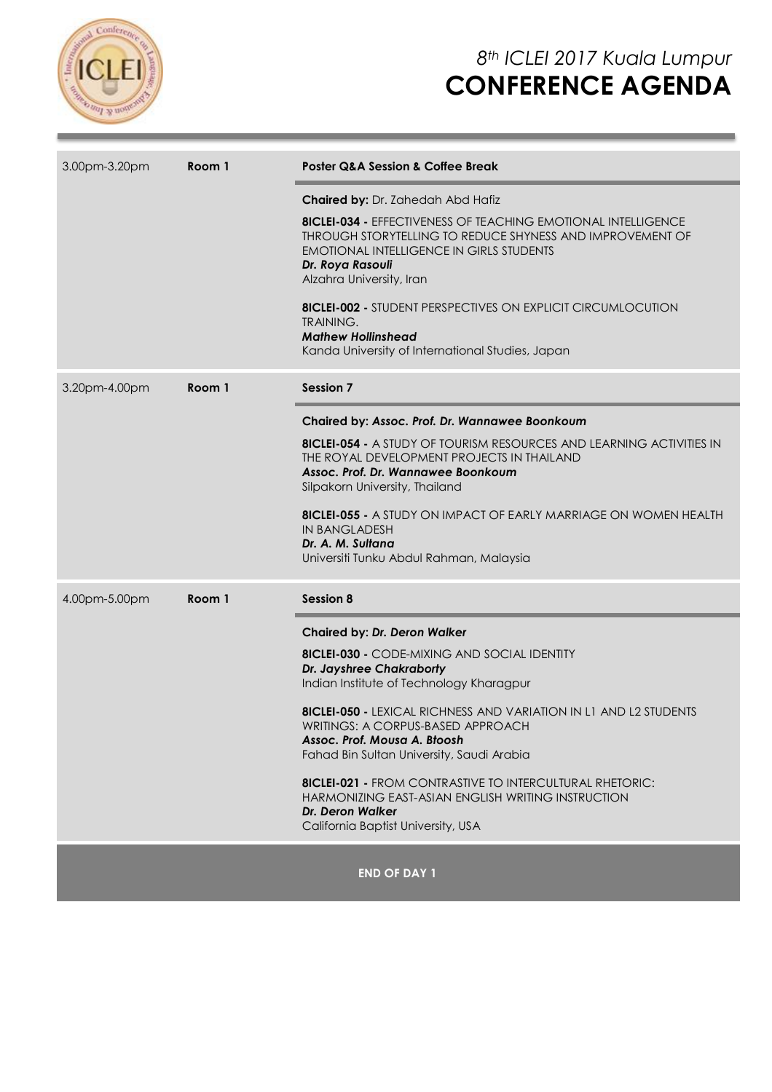

| 3.00pm-3.20pm           | Room 1 | <b>Poster Q&amp;A Session &amp; Coffee Break</b>                                                                                                                                                                                                                                                                                                                                                                                                                                                                                                           |  |
|-------------------------|--------|------------------------------------------------------------------------------------------------------------------------------------------------------------------------------------------------------------------------------------------------------------------------------------------------------------------------------------------------------------------------------------------------------------------------------------------------------------------------------------------------------------------------------------------------------------|--|
|                         |        | <b>Chaired by: Dr. Zahedah Abd Hafiz</b><br><b>8ICLEI-034 - EFFECTIVENESS OF TEACHING EMOTIONAL INTELLIGENCE</b><br>THROUGH STORYTELLING TO REDUCE SHYNESS AND IMPROVEMENT OF<br><b>EMOTIONAL INTELLIGENCE IN GIRLS STUDENTS</b><br>Dr. Roya Rasouli<br>Alzahra University, Iran<br><b>8ICLEI-002 - STUDENT PERSPECTIVES ON EXPLICIT CIRCUMLOCUTION</b><br><b>TRAINING.</b><br><b>Mathew Hollinshead</b><br>Kanda University of International Studies, Japan                                                                                               |  |
| 3.20pm-4.00pm<br>Room 1 |        | <b>Session 7</b>                                                                                                                                                                                                                                                                                                                                                                                                                                                                                                                                           |  |
|                         |        | Chaired by: Assoc. Prof. Dr. Wannawee Boonkoum<br><b>8ICLEI-054 - A STUDY OF TOURISM RESOURCES AND LEARNING ACTIVITIES IN</b><br>THE ROYAL DEVELOPMENT PROJECTS IN THAILAND<br>Assoc. Prof. Dr. Wannawee Boonkoum<br>Silpakorn University, Thailand<br><b>8ICLEI-055 - A STUDY ON IMPACT OF EARLY MARRIAGE ON WOMEN HEALTH</b><br><b>IN BANGLADESH</b><br>Dr. A. M. Sultana<br>Universiti Tunku Abdul Rahman, Malaysia                                                                                                                                     |  |
| 4.00pm-5.00pm           | Room 1 | <b>Session 8</b>                                                                                                                                                                                                                                                                                                                                                                                                                                                                                                                                           |  |
|                         |        | <b>Chaired by: Dr. Deron Walker</b><br><b>8ICLEI-030 - CODE-MIXING AND SOCIAL IDENTITY</b><br>Dr. Jayshree Chakraborty<br>Indian Institute of Technology Kharagpur<br><b>8ICLEI-050 - LEXICAL RICHNESS AND VARIATION IN L1 AND L2 STUDENTS</b><br>WRITINGS: A CORPUS-BASED APPROACH<br>Assoc. Prof. Mousa A. Błoosh<br>Fahad Bin Sultan University, Saudi Arabia<br><b>8ICLEI-021 - FROM CONTRASTIVE TO INTERCULTURAL RHETORIC:</b><br>HARMONIZING EAST-ASIAN ENGLISH WRITING INSTRUCTION<br><b>Dr. Deron Walker</b><br>California Baptist University, USA |  |
|                         |        | <b>END OF DAY 1</b>                                                                                                                                                                                                                                                                                                                                                                                                                                                                                                                                        |  |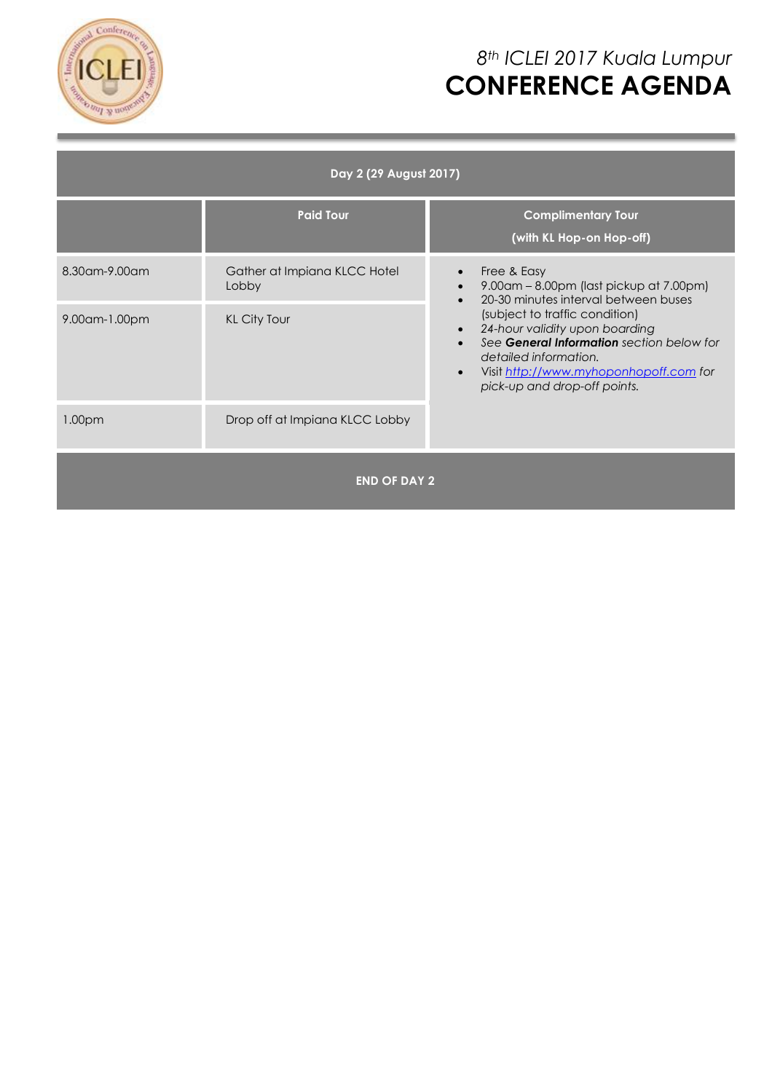

# *8th ICLEI 2017 Kuala Lumpur* **CONFERENCE AGENDA**

| Day 2 (29 August 2017) |                                       |                                                                                                                                                                                                                                                                                                                                                           |  |  |  |  |
|------------------------|---------------------------------------|-----------------------------------------------------------------------------------------------------------------------------------------------------------------------------------------------------------------------------------------------------------------------------------------------------------------------------------------------------------|--|--|--|--|
|                        | <b>Paid Tour</b>                      | <b>Complimentary Tour</b><br>(with KL Hop-on Hop-off)                                                                                                                                                                                                                                                                                                     |  |  |  |  |
| 8.30 am - 9.00 am      | Gather at Impiana KLCC Hotel<br>Lobby | Free & Easy<br>$\bullet$<br>9.00am – 8.00pm (last pickup at 7.00pm)<br>20-30 minutes interval between buses<br>(subject to traffic condition)<br>24-hour validity upon boarding<br>$\bullet$<br>See General Information section below for<br>detailed information.<br>Visit http://www.myhoponhopoff.com for<br>$\bullet$<br>pick-up and drop-off points. |  |  |  |  |
| 9.00am-1.00pm          | <b>KL City Tour</b>                   |                                                                                                                                                                                                                                                                                                                                                           |  |  |  |  |
| 1.00 <sub>pm</sub>     | Drop off at Impiana KLCC Lobby        |                                                                                                                                                                                                                                                                                                                                                           |  |  |  |  |
| <b>END OF DAY 2</b>    |                                       |                                                                                                                                                                                                                                                                                                                                                           |  |  |  |  |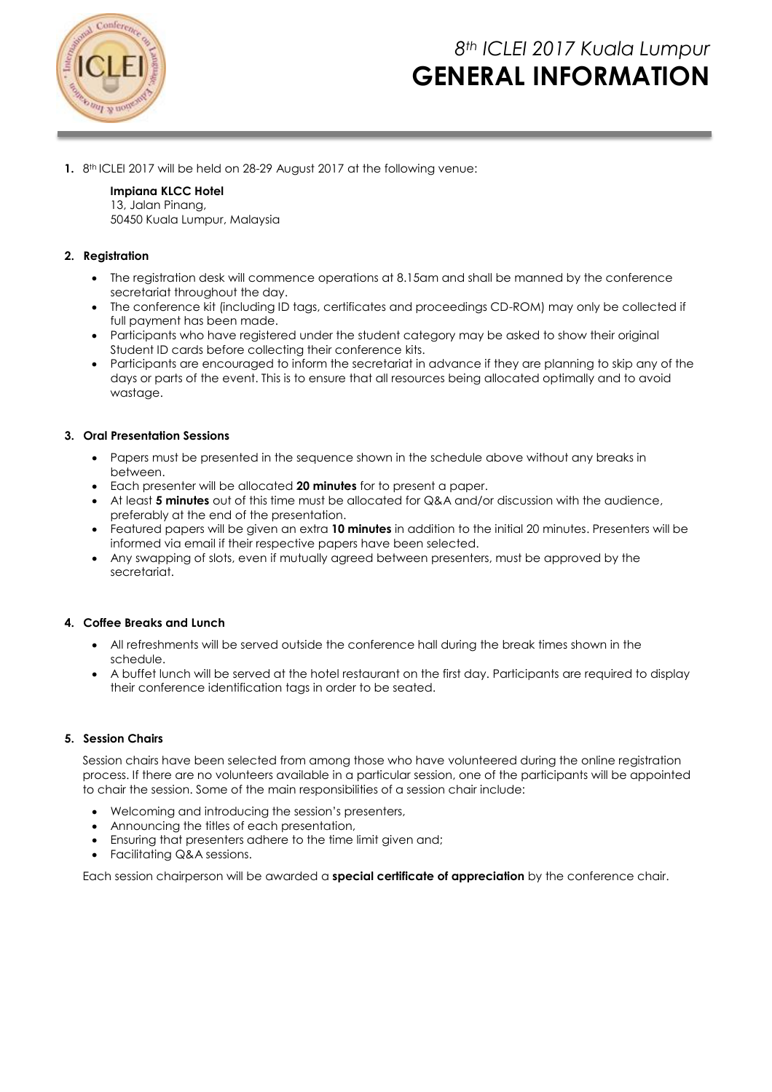

## *8th ICLEI 2017 Kuala Lumpur* **GENERAL INFORMATION**

**1.** 8<sup>th</sup> ICLEI 2017 will be held on 28-29 August 2017 at the following venue:

#### **Impiana KLCC Hotel** 13, Jalan Pinang, 50450 Kuala Lumpur, Malaysia

### **2. Registration**

- The registration desk will commence operations at 8.15am and shall be manned by the conference secretariat throughout the day.
- The conference kit (including ID tags, certificates and proceedings CD-ROM) may only be collected if full payment has been made.
- Participants who have registered under the student category may be asked to show their original Student ID cards before collecting their conference kits.
- Participants are encouraged to inform the secretariat in advance if they are planning to skip any of the days or parts of the event. This is to ensure that all resources being allocated optimally and to avoid wastage.

#### **3. Oral Presentation Sessions**

- Papers must be presented in the sequence shown in the schedule above without any breaks in between.
- Each presenter will be allocated **20 minutes** for to present a paper.
- At least **5 minutes** out of this time must be allocated for Q&A and/or discussion with the audience, preferably at the end of the presentation.
- Featured papers will be given an extra **10 minutes** in addition to the initial 20 minutes. Presenters will be informed via email if their respective papers have been selected.
- Any swapping of slots, even if mutually agreed between presenters, must be approved by the secretariat.

#### **4. Coffee Breaks and Lunch**

- All refreshments will be served outside the conference hall during the break times shown in the schedule.
- A buffet lunch will be served at the hotel restaurant on the first day. Participants are required to display their conference identification tags in order to be seated.

#### **5. Session Chairs**

Session chairs have been selected from among those who have volunteered during the online registration process. If there are no volunteers available in a particular session, one of the participants will be appointed to chair the session. Some of the main responsibilities of a session chair include:

- Welcoming and introducing the session's presenters,
- Announcing the titles of each presentation,
- Ensuring that presenters adhere to the time limit given and;
- Facilitating Q&A sessions.

Each session chairperson will be awarded a **special certificate of appreciation** by the conference chair.